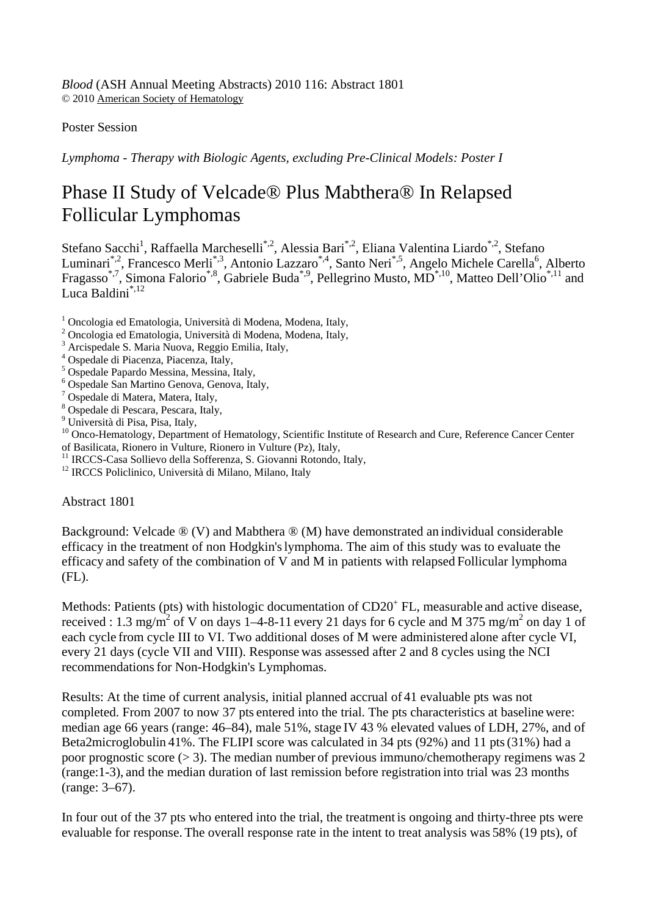*Blood* (ASH Annual Meeting Abstracts) 2010 116: Abstract 1801 © 2010 American Society of Hematology

## Poster Session

*Lymphoma - Therapy with Biologic Agents, excluding Pre-Clinical Models: Poster I*

## Phase II Study of Velcade® Plus Mabthera® In Relapsed Follicular Lymphomas

Stefano Sacchi<sup>1</sup>, Raffaella Marcheselli<sup>\*,2</sup>, Alessia Bari<sup>\*,2</sup>, Eliana Valentina Liardo<sup>\*,2</sup>, Stefano Luminari<sup>\*,2</sup>, Francesco Merli<sup>\*,3</sup>, Antonio Lazzaro<sup>\*,4</sup>, Santo Neri<sup>\*,5</sup>, Angelo Michele Carella<sup>6</sup>, Alberto Fragasso<sup>\*,7</sup>, Simona Falorio<sup>\*,8</sup>, Gabriele Buda<sup>\*,9</sup>, Pellegrino Musto, MD<sup>\*,10</sup>, Matteo Dell'Olio<sup>\*,11</sup> and Luca Baldini\*,12

<sup>1</sup> Oncologia ed Ematologia, Università di Modena, Modena, Italy,

- 2 Oncologia ed Ematologia, Università di Modena, Modena, Italy,
- 3 Arcispedale S. Maria Nuova, Reggio Emilia, Italy,
- 4 Ospedale di Piacenza, Piacenza, Italy,
- 5 Ospedale Papardo Messina, Messina, Italy,
- 6 Ospedale San Martino Genova, Genova, Italy,
- <sup>7</sup> Ospedale di Matera, Matera, Italy,
- 8 Ospedale di Pescara, Pescara, Italy,
- <sup>9</sup> Università di Pisa, Pisa, Italy,

<sup>10</sup> Onco-Hematology, Department of Hematology, Scientific Institute of Research and Cure, Reference Cancer Center of Basilicata, Rionero in Vulture, Rionero in Vulture (Pz), Italy,

- <sup>11</sup> IRCCS-Casa Sollievo della Sofferenza, S. Giovanni Rotondo, Italy, <sup>12</sup> IRCCS Policlinico, Università di Milano, Milano, Italy
- 

Abstract 1801

Background: Velcade ® (V) and Mabthera ® (M) have demonstrated an individual considerable efficacy in the treatment of non Hodgkin'slymphoma. The aim of this study was to evaluate the efficacy and safety of the combination of V and M in patients with relapsed Follicular lymphoma (FL).

Methods: Patients (pts) with histologic documentation of  $CD20<sup>+</sup> FL$ , measurable and active disease, received : 1.3 mg/m<sup>2</sup> of V on days 1–4-8-11 every 21 days for 6 cycle and M 375 mg/m<sup>2</sup> on day 1 of each cycle from cycle III to VI. Two additional doses of M were administered alone after cycle VI, every 21 days (cycle VII and VIII). Response was assessed after 2 and 8 cycles using the NCI recommendations for Non-Hodgkin's Lymphomas.

Results: At the time of current analysis, initial planned accrual of 41 evaluable pts was not completed. From 2007 to now 37 pts entered into the trial. The pts characteristics at baseline were: median age 66 years (range: 46–84), male 51%, stage IV 43 % elevated values of LDH, 27%, and of Beta2microglobulin 41%. The FLIPI score was calculated in 34 pts (92%) and 11 pts(31%) had a poor prognostic score  $(> 3)$ . The median number of previous immuno/chemotherapy regimens was 2 (range:1-3), and the median duration of last remission before registration into trial was 23 months (range: 3–67).

In four out of the 37 pts who entered into the trial, the treatment is ongoing and thirty-three pts were evaluable for response. The overall response rate in the intent to treat analysis was 58% (19 pts), of